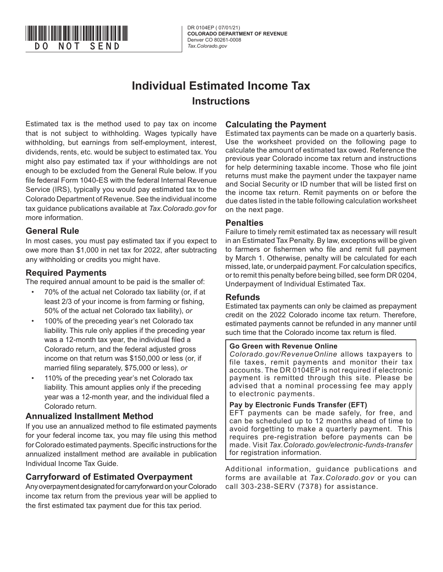

DR 0104EP ( 07/01/21) **COLORADO DEPARTMENT OF REVENUE** Denver CO 80261-0008<br>Tax.Colorado.gov

# **Individual Estimated Income Tax Instructions**

Estimated tax is the method used to pay tax on income that is not subject to withholding. Wages typically have withholding, but earnings from self-employment, interest, dividends, rents, etc. would be subject to estimated tax. You might also pay estimated tax if your withholdings are not enough to be excluded from the General Rule below. If you file federal Form 1040-ES with the federal Internal Revenue Service (IRS), typically you would pay estimated tax to the Colorado Department of Revenue. See the individual income tax guidance publications available at *Tax.Colorado.gov* for more information.

## **General Rule**

In most cases, you must pay estimated tax if you expect to owe more than \$1,000 in net tax for 2022, after subtracting any withholding or credits you might have.

## **Required Payments**

The required annual amount to be paid is the smaller of:

- 70% of the actual net Colorado tax liability (or, if at least 2/3 of your income is from farming or fishing, 50% of the actual net Colorado tax liability), *or*
- 100% of the preceding year's net Colorado tax liability. This rule only applies if the preceding year was a 12-month tax year, the individual filed a Colorado return, and the federal adjusted gross income on that return was \$150,000 or less (or, if married filing separately, \$75,000 or less), *or*
- 110% of the preceding year's net Colorado tax liability. This amount applies only if the preceding year was a 12-month year, and the individual filed a Colorado return.

#### **Annualized Installment Method**

If you use an annualized method to file estimated payments for your federal income tax, you may file using this method for Colorado estimated payments. Specific instructions for the annualized installment method are available in publication Individual Income Tax Guide.

# **Carryforward of Estimated Overpayment**

Any overpayment designated for carryforward on your Colorado income tax return from the previous year will be applied to the first estimated tax payment due for this tax period.

## **Calculating the Payment**

Estimated tax payments can be made on a quarterly basis. Use the worksheet provided on the following page to calculate the amount of estimated tax owed. Reference the previous year Colorado income tax return and instructions for help determining taxable income. Those who file joint returns must make the payment under the taxpayer name and Social Security or ID number that will be listed first on the income tax return. Remit payments on or before the due dates listed in the table following calculation worksheet on the next page.

#### **Penalties**

Failure to timely remit estimated tax as necessary will result in an Estimated Tax Penalty. By law, exceptions will be given to farmers or fishermen who file and remit full payment by March 1. Otherwise, penalty will be calculated for each missed, late, or underpaid payment. For calculation specifics, or to remit this penalty before being billed, see form DR 0204, Underpayment of Individual Estimated Tax.

#### **Refunds**

Estimated tax payments can only be claimed as prepayment credit on the 2022 Colorado income tax return. Therefore, estimated payments cannot be refunded in any manner until such time that the Colorado income tax return is filed.

#### **Go Green with Revenue Online**

*Colorado.gov/RevenueOnline* allows taxpayers to file taxes, remit payments and monitor their tax accounts. The DR 0104EP is not required if electronic payment is remitted through this site. Please be advised that a nominal processing fee may apply to electronic payments.

#### **Pay by Electronic Funds Transfer (EFT)**

EFT payments can be made safely, for free, and can be scheduled up to 12 months ahead of time to avoid forgetting to make a quarterly payment. This requires pre-registration before payments can be made. Visit *Tax.Colorado.gov/electronic-funds-transfer*  for registration information.

Additional information, guidance publications and forms are available at *Tax.Colorado.gov* or you can call 303-238-SERV (7378) for assistance.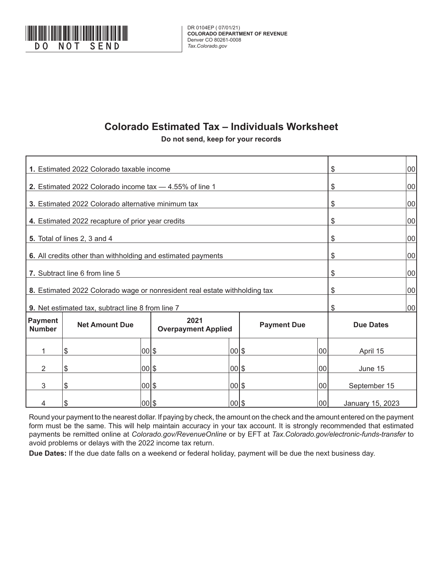

# **Colorado Estimated Tax – Individuals Worksheet**

**Do not send, keep for your records**

| 1. Estimated 2022 Colorado taxable income                                  |                                                                            |       |                                    |       |                    |     | \$               |    |
|----------------------------------------------------------------------------|----------------------------------------------------------------------------|-------|------------------------------------|-------|--------------------|-----|------------------|----|
| 2. Estimated 2022 Colorado income tax -4.55% of line 1                     |                                                                            |       |                                    |       |                    |     | \$               | 00 |
| 3. Estimated 2022 Colorado alternative minimum tax                         |                                                                            |       |                                    |       |                    |     | \$               | 00 |
| 4. Estimated 2022 recapture of prior year credits                          |                                                                            | \$    | 00                                 |       |                    |     |                  |    |
| 5. Total of lines 2, 3 and 4                                               |                                                                            |       |                                    |       |                    |     | \$               | 00 |
| 6. All credits other than withholding and estimated payments               |                                                                            |       |                                    |       |                    |     | \$               | 00 |
| 7. Subtract line 6 from line 5                                             |                                                                            | \$    | 00                                 |       |                    |     |                  |    |
| 8. Estimated 2022 Colorado wage or nonresident real estate withholding tax |                                                                            | \$    | 00                                 |       |                    |     |                  |    |
|                                                                            | \$                                                                         | 00    |                                    |       |                    |     |                  |    |
| <b>Payment</b><br><b>Number</b>                                            | 9. Net estimated tax, subtract line 8 from line 7<br><b>Net Amount Due</b> |       | 2021<br><b>Overpayment Applied</b> |       | <b>Payment Due</b> |     | <b>Due Dates</b> |    |
| 1                                                                          | \$                                                                         | 00 \$ |                                    | 00 \$ |                    | 00  | April 15         |    |
| $\overline{2}$                                                             | \$                                                                         | 00 \$ |                                    | 00 \$ |                    | 00  | June 15          |    |
| 3                                                                          | \$                                                                         | 00 \$ |                                    | 00 \$ |                    | 00  | September 15     |    |
|                                                                            | \$                                                                         | 00 \$ |                                    | 00 \$ |                    | 100 | January 15, 2023 |    |

Round your payment to the nearest dollar. If paying by check, the amount on the check and the amount entered on the payment form must be the same. This will help maintain accuracy in your tax account. It is strongly recommended that estimated payments be remitted online at *Colorado.gov/RevenueOnline* or by EFT at *Tax.Colorado.gov/electronic-funds-transfer* to avoid problems or delays with the 2022 income tax return.

**Due Dates:** If the due date falls on a weekend or federal holiday, payment will be due the next business day.